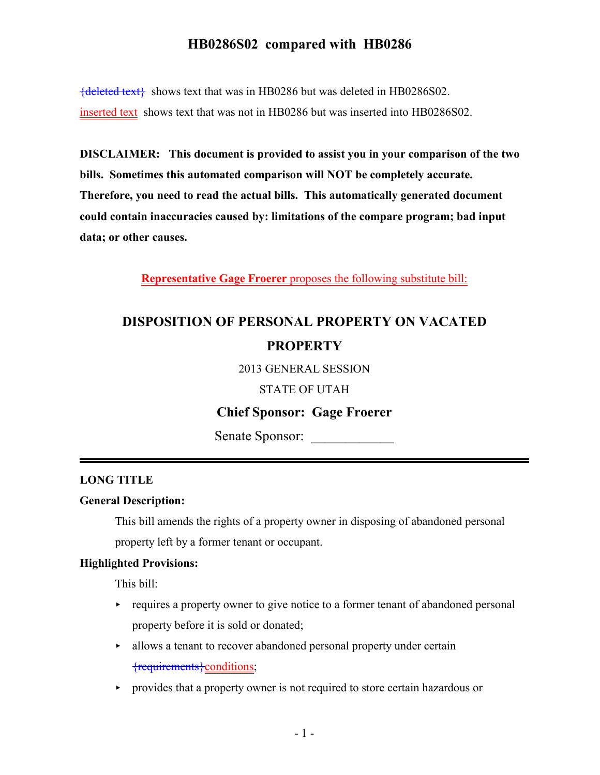${deleted text}$  shows text that was in HB0286 but was deleted in HB0286S02. inserted text shows text that was not in HB0286 but was inserted into HB0286S02.

**DISCLAIMER: This document is provided to assist you in your comparison of the two bills. Sometimes this automated comparison will NOT be completely accurate. Therefore, you need to read the actual bills. This automatically generated document could contain inaccuracies caused by: limitations of the compare program; bad input data; or other causes.**

**Representative Gage Froerer** proposes the following substitute bill:

# **DISPOSITION OF PERSONAL PROPERTY ON VACATED PROPERTY**

2013 GENERAL SESSION

STATE OF UTAH

## **Chief Sponsor: Gage Froerer**

Senate Sponsor:

### **LONG TITLE**

#### **General Description:**

This bill amends the rights of a property owner in disposing of abandoned personal property left by a former tenant or occupant.

#### **Highlighted Provisions:**

This bill:

- $\rightarrow$  requires a property owner to give notice to a former tenant of abandoned personal property before it is sold or donated;
- allows a tenant to recover abandoned personal property under certain {requirements}conditions;
- < provides that a property owner is not required to store certain hazardous or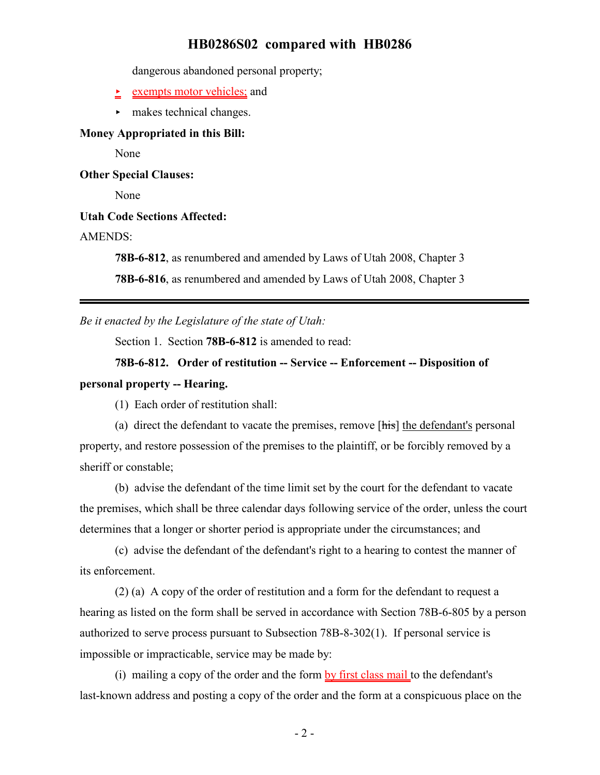dangerous abandoned personal property;

- $\geq$  exempts motor vehicles; and
- $\blacktriangleright$  makes technical changes.

#### **Money Appropriated in this Bill:**

None

**Other Special Clauses:**

None

#### **Utah Code Sections Affected:**

#### AMENDS:

**78B-6-812**, as renumbered and amended by Laws of Utah 2008, Chapter 3

**78B-6-816**, as renumbered and amended by Laws of Utah 2008, Chapter 3

*Be it enacted by the Legislature of the state of Utah:*

Section 1. Section **78B-6-812** is amended to read:

## **78B-6-812. Order of restitution -- Service -- Enforcement -- Disposition of personal property -- Hearing.**

(1) Each order of restitution shall:

(a) direct the defendant to vacate the premises, remove [his] the defendant's personal property, and restore possession of the premises to the plaintiff, or be forcibly removed by a sheriff or constable;

(b) advise the defendant of the time limit set by the court for the defendant to vacate the premises, which shall be three calendar days following service of the order, unless the court determines that a longer or shorter period is appropriate under the circumstances; and

(c) advise the defendant of the defendant's right to a hearing to contest the manner of its enforcement.

(2) (a) A copy of the order of restitution and a form for the defendant to request a hearing as listed on the form shall be served in accordance with Section 78B-6-805 by a person authorized to serve process pursuant to Subsection 78B-8-302(1). If personal service is impossible or impracticable, service may be made by:

(i) mailing a copy of the order and the form by first class mail to the defendant's last-known address and posting a copy of the order and the form at a conspicuous place on the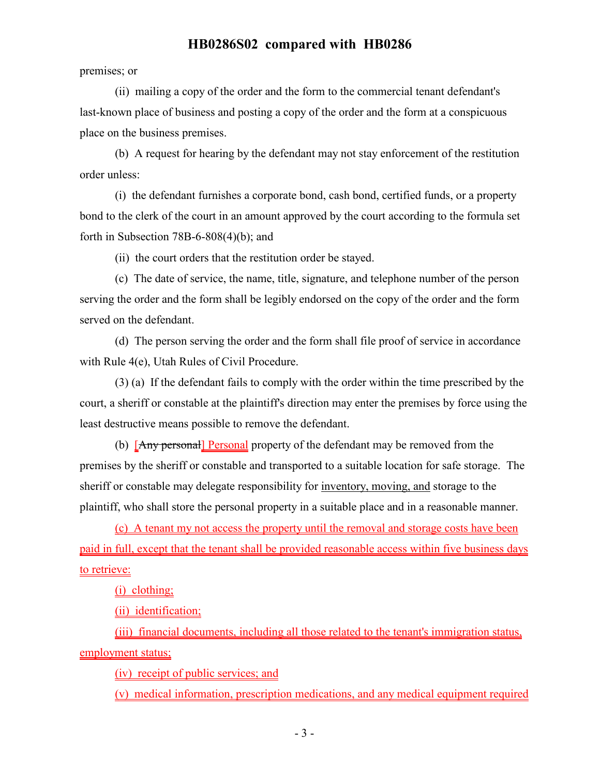premises; or

(ii) mailing a copy of the order and the form to the commercial tenant defendant's last-known place of business and posting a copy of the order and the form at a conspicuous place on the business premises.

(b) A request for hearing by the defendant may not stay enforcement of the restitution order unless:

(i) the defendant furnishes a corporate bond, cash bond, certified funds, or a property bond to the clerk of the court in an amount approved by the court according to the formula set forth in Subsection  $78B-6-808(4)(b)$ ; and

(ii) the court orders that the restitution order be stayed.

(c) The date of service, the name, title, signature, and telephone number of the person serving the order and the form shall be legibly endorsed on the copy of the order and the form served on the defendant.

(d) The person serving the order and the form shall file proof of service in accordance with Rule 4(e), Utah Rules of Civil Procedure.

(3) (a) If the defendant fails to comply with the order within the time prescribed by the court, a sheriff or constable at the plaintiff's direction may enter the premises by force using the least destructive means possible to remove the defendant.

(b) [Any personal] Personal property of the defendant may be removed from the premises by the sheriff or constable and transported to a suitable location for safe storage. The sheriff or constable may delegate responsibility for inventory, moving, and storage to the plaintiff, who shall store the personal property in a suitable place and in a reasonable manner.

(c) A tenant my not access the property until the removal and storage costs have been paid in full, except that the tenant shall be provided reasonable access within five business days to retrieve:

(i) clothing;

(ii) identification;

(iii) financial documents, including all those related to the tenant's immigration status, employment status;

(iv) receipt of public services; and

(v) medical information, prescription medications, and any medical equipment required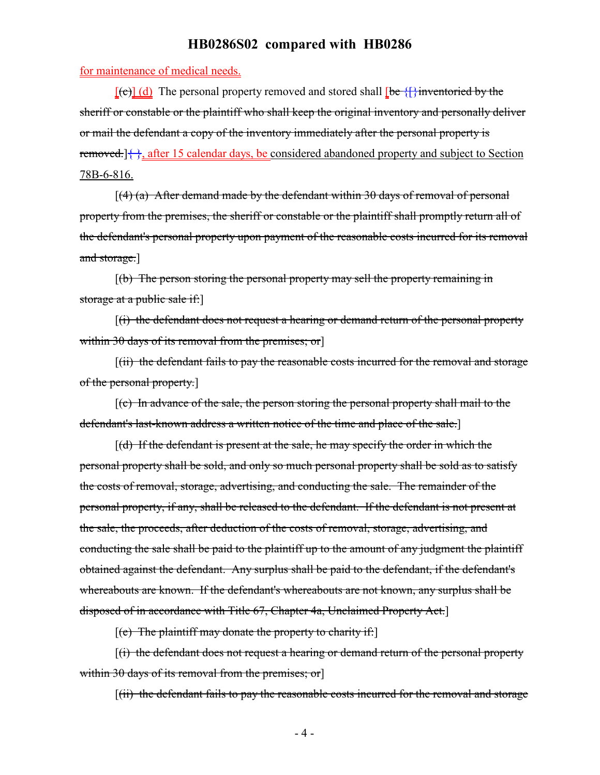for maintenance of medical needs.

 $[\text{[c]}]$  (d) The personal property removed and stored shall  $[\text{be } {\{\}}]$  inventoried by the sheriff or constable or the plaintiff who shall keep the original inventory and personally deliver or mail the defendant a copy of the inventory immediately after the personal property is removed.] $\{\}$ , after 15 calendar days, be considered abandoned property and subject to Section 78B-6-816.

 $[(4)$  (a) After demand made by the defendant within 30 days of removal of personal property from the premises, the sheriff or constable or the plaintiff shall promptly return all of the defendant's personal property upon payment of the reasonable costs incurred for its removal and storage.]

[(b) The person storing the personal property may sell the property remaining in storage at a public sale if:

[(i) the defendant does not request a hearing or demand return of the personal property within 30 days of its removal from the premises; or

[(ii) the defendant fails to pay the reasonable costs incurred for the removal and storage of the personal property.]

[(c) In advance of the sale, the person storing the personal property shall mail to the defendant's last-known address a written notice of the time and place of the sale.]

 $[(d)$  If the defendant is present at the sale, he may specify the order in which the personal property shall be sold, and only so much personal property shall be sold as to satisfy the costs of removal, storage, advertising, and conducting the sale. The remainder of the personal property, if any, shall be released to the defendant. If the defendant is not present at the sale, the proceeds, after deduction of the costs of removal, storage, advertising, and conducting the sale shall be paid to the plaintiff up to the amount of any judgment the plaintiff obtained against the defendant. Any surplus shall be paid to the defendant, if the defendant's whereabouts are known. If the defendant's whereabouts are not known, any surplus shall be disposed of in accordance with Title 67, Chapter 4a, Unclaimed Property Act.]

 $[(e)$  The plaintiff may donate the property to charity if:

[(i) the defendant does not request a hearing or demand return of the personal property within 30 days of its removal from the premises; or

[(ii) the defendant fails to pay the reasonable costs incurred for the removal and storage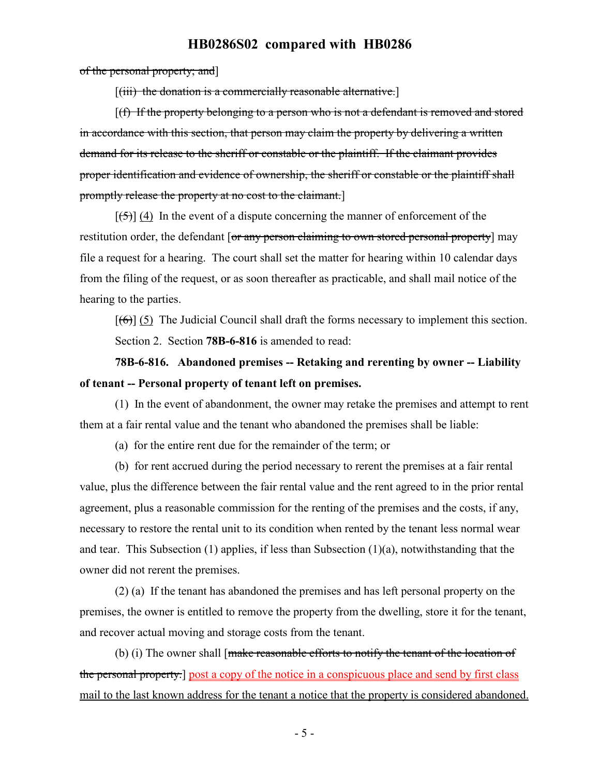of the personal property; and]

 $[(iii)$  the donation is a commercially reasonable alternative.

[(f) If the property belonging to a person who is not a defendant is removed and stored in accordance with this section, that person may claim the property by delivering a written demand for its release to the sheriff or constable or the plaintiff. If the claimant provides proper identification and evidence of ownership, the sheriff or constable or the plaintiff shall promptly release the property at no cost to the claimant.]

 $[\frac{1}{5}]$  (4) In the event of a dispute concerning the manner of enforcement of the restitution order, the defendant [or any person claiming to own stored personal property] may file a request for a hearing. The court shall set the matter for hearing within 10 calendar days from the filing of the request, or as soon thereafter as practicable, and shall mail notice of the hearing to the parties.

 $[(6)]$  (5) The Judicial Council shall draft the forms necessary to implement this section. Section 2. Section **78B-6-816** is amended to read:

## **78B-6-816. Abandoned premises -- Retaking and rerenting by owner -- Liability of tenant -- Personal property of tenant left on premises.**

(1) In the event of abandonment, the owner may retake the premises and attempt to rent them at a fair rental value and the tenant who abandoned the premises shall be liable:

(a) for the entire rent due for the remainder of the term; or

(b) for rent accrued during the period necessary to rerent the premises at a fair rental value, plus the difference between the fair rental value and the rent agreed to in the prior rental agreement, plus a reasonable commission for the renting of the premises and the costs, if any, necessary to restore the rental unit to its condition when rented by the tenant less normal wear and tear. This Subsection (1) applies, if less than Subsection (1)(a), notwithstanding that the owner did not rerent the premises.

(2) (a) If the tenant has abandoned the premises and has left personal property on the premises, the owner is entitled to remove the property from the dwelling, store it for the tenant, and recover actual moving and storage costs from the tenant.

(b) (i) The owner shall [make reasonable efforts to notify the tenant of the location of the personal property.] post a copy of the notice in a conspicuous place and send by first class mail to the last known address for the tenant a notice that the property is considered abandoned.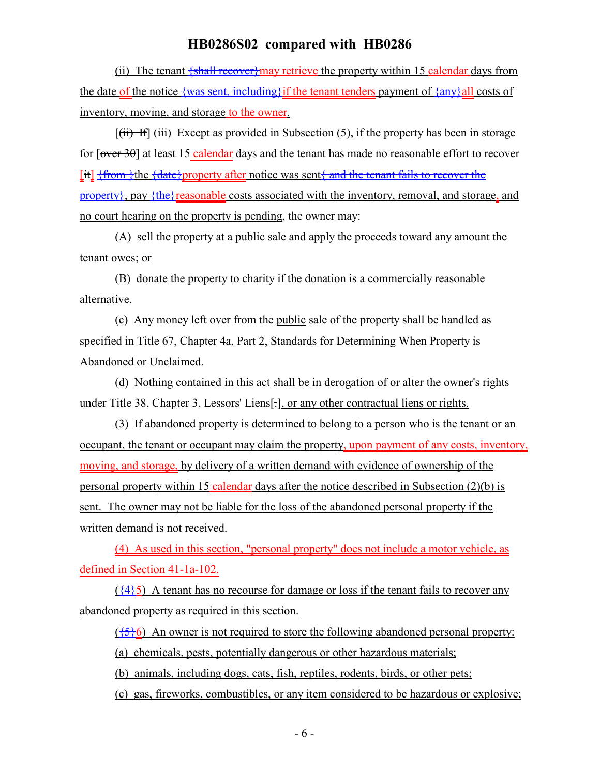(ii) The tenant  $\frac{1}{2}$  fall recover may retrieve the property within 15 calendar days from the date of the notice  $\frac{1}{3}$  the sent, including if the tenant tenders payment of  $\frac{1}{3}$  any all costs of inventory, moving, and storage to the owner.

 $[(iii)$  If  $[iii)$  Except as provided in Subsection (5), if the property has been in storage for  $\lceil \overline{\text{over 30}} \rceil$  at least 15 calendar days and the tenant has made no reasonable effort to recover [it] {from }the {date}property after notice was sent { and the tenant fails to recover the property}, pay {the}reasonable costs associated with the inventory, removal, and storage, and no court hearing on the property is pending, the owner may:

(A) sell the property at a public sale and apply the proceeds toward any amount the tenant owes; or

(B) donate the property to charity if the donation is a commercially reasonable alternative.

(c) Any money left over from the public sale of the property shall be handled as specified in Title 67, Chapter 4a, Part 2, Standards for Determining When Property is Abandoned or Unclaimed.

(d) Nothing contained in this act shall be in derogation of or alter the owner's rights under Title 38, Chapter 3, Lessors' Liens[.], or any other contractual liens or rights.

(3) If abandoned property is determined to belong to a person who is the tenant or an occupant, the tenant or occupant may claim the property, upon payment of any costs, inventory, moving, and storage, by delivery of a written demand with evidence of ownership of the personal property within 15 calendar days after the notice described in Subsection (2)(b) is sent. The owner may not be liable for the loss of the abandoned personal property if the written demand is not received.

(4) As used in this section, "personal property" does not include a motor vehicle, as defined in Section 41-1a-102.

 $(\frac{44}{5})$  A tenant has no recourse for damage or loss if the tenant fails to recover any abandoned property as required in this section.

 $({5}6)$  An owner is not required to store the following abandoned personal property:

(a) chemicals, pests, potentially dangerous or other hazardous materials;

(b) animals, including dogs, cats, fish, reptiles, rodents, birds, or other pets;

(c) gas, fireworks, combustibles, or any item considered to be hazardous or explosive;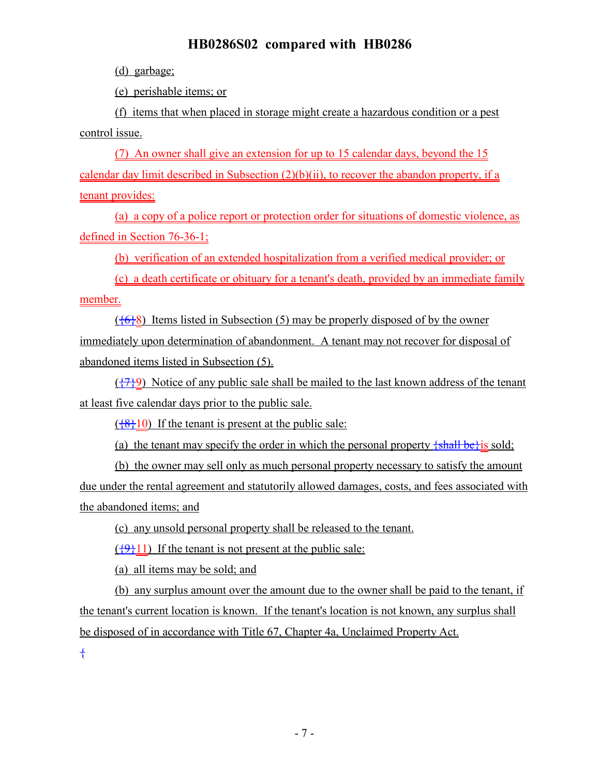(d) garbage;

(e) perishable items; or

(f) items that when placed in storage might create a hazardous condition or a pest control issue.

(7) An owner shall give an extension for up to 15 calendar days, beyond the 15 calendar day limit described in Subsection (2)(b)(ii), to recover the abandon property, if a tenant provides:

(a) a copy of a police report or protection order for situations of domestic violence, as defined in Section 76-36-1;

(b) verification of an extended hospitalization from a verified medical provider; or

(c) a death certificate or obituary for a tenant's death, provided by an immediate family member.

 $({6}8)$  Items listed in Subsection (5) may be properly disposed of by the owner immediately upon determination of abandonment. A tenant may not recover for disposal of abandoned items listed in Subsection (5).

 $({779})$  Notice of any public sale shall be mailed to the last known address of the tenant at least five calendar days prior to the public sale.

 $({}^{48}_{6}10)$  If the tenant is present at the public sale:

(a) the tenant may specify the order in which the personal property  $\frac{1}{2}$ shall be $\frac{1}{2}$ is sold;

(b) the owner may sell only as much personal property necessary to satisfy the amount due under the rental agreement and statutorily allowed damages, costs, and fees associated with the abandoned items; and

(c) any unsold personal property shall be released to the tenant.

 $({9}+9+11)$  If the tenant is not present at the public sale:

(a) all items may be sold; and

(b) any surplus amount over the amount due to the owner shall be paid to the tenant, if the tenant's current location is known. If the tenant's location is not known, any surplus shall be disposed of in accordance with Title 67, Chapter 4a, Unclaimed Property Act.

{